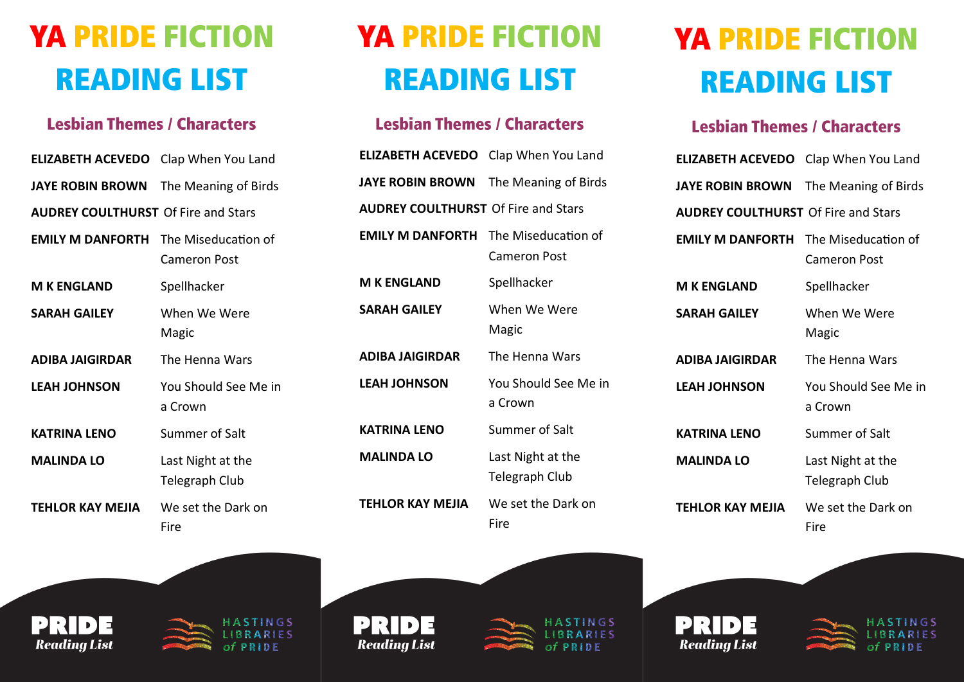## **YA PRIDE FICTION READING LIST**

## **Lesbian Themes / Characters**

| <b>ELIZABETH ACEVEDO</b> Clap When You Land  |                                            |
|----------------------------------------------|--------------------------------------------|
| <b>JAYE ROBIN BROWN</b> The Meaning of Birds |                                            |
| <b>AUDREY COULTHURST Of Fire and Stars</b>   |                                            |
| <b>EMILY M DANFORTH</b> The Miseducation of  | Cameron Post                               |
| <b>M K ENGLAND</b>                           | Spellhacker                                |
| <b>SARAH GAILEY</b>                          | When We Were<br>Magic                      |
| ADIBA JAIGIRDAR                              | The Henna Wars                             |
| <b>LEAH JOHNSON</b>                          | You Should See Me in<br>a Crown            |
| <b>KATRINA LENO</b>                          | Summer of Salt                             |
| <b>MALINDA LO</b>                            | Last Night at the<br><b>Telegraph Club</b> |
| TEHLOR KAY MEJIA                             | We set the Dark on<br>Fire                 |





NGS RIES PRIDE